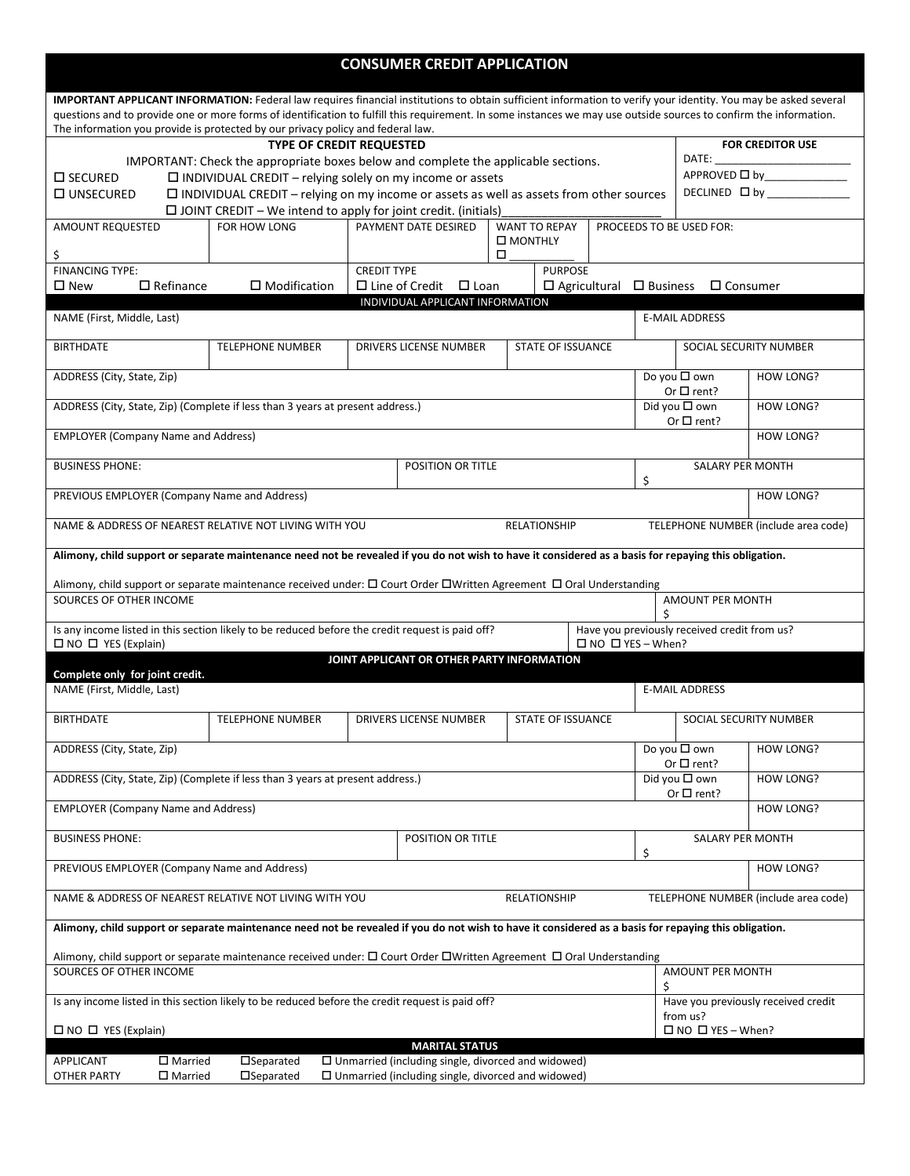| <b>CONSUMER CREDIT APPLICATION</b>                                                                                                                                                                                                                                                                                                    |                                                                                                |                                                           |                                                                                                                           |  |                     |                              |                                                      |                                                     |                                      |  |
|---------------------------------------------------------------------------------------------------------------------------------------------------------------------------------------------------------------------------------------------------------------------------------------------------------------------------------------|------------------------------------------------------------------------------------------------|-----------------------------------------------------------|---------------------------------------------------------------------------------------------------------------------------|--|---------------------|------------------------------|------------------------------------------------------|-----------------------------------------------------|--------------------------------------|--|
| IMPORTANT APPLICANT INFORMATION: Federal law requires financial institutions to obtain sufficient information to verify your identity. You may be asked several<br>questions and to provide one or more forms of identification to fulfill this requirement. In some instances we may use outside sources to confirm the information. |                                                                                                |                                                           |                                                                                                                           |  |                     |                              |                                                      |                                                     |                                      |  |
| The information you provide is protected by our privacy policy and federal law.                                                                                                                                                                                                                                                       |                                                                                                |                                                           |                                                                                                                           |  |                     |                              |                                                      |                                                     |                                      |  |
| <b>FOR CREDITOR USE</b><br><b>TYPE OF CREDIT REQUESTED</b>                                                                                                                                                                                                                                                                            |                                                                                                |                                                           |                                                                                                                           |  |                     |                              |                                                      |                                                     |                                      |  |
| IMPORTANT: Check the appropriate boxes below and complete the applicable sections.<br>$\square$ SECURED<br>$\Box$ INDIVIDUAL CREDIT - relying solely on my income or assets                                                                                                                                                           |                                                                                                |                                                           |                                                                                                                           |  |                     |                              |                                                      | APPROVED □ by______________                         |                                      |  |
| □ UNSECURED                                                                                                                                                                                                                                                                                                                           | $\Box$ INDIVIDUAL CREDIT – relying on my income or assets as well as assets from other sources |                                                           |                                                                                                                           |  |                     |                              |                                                      |                                                     |                                      |  |
| $\Box$ JOINT CREDIT – We intend to apply for joint credit. (initials)                                                                                                                                                                                                                                                                 |                                                                                                |                                                           |                                                                                                                           |  |                     |                              |                                                      |                                                     |                                      |  |
| AMOUNT REQUESTED                                                                                                                                                                                                                                                                                                                      | FOR HOW LONG                                                                                   | PAYMENT DATE DESIRED<br><b>WANT TO REPAY</b><br>□ MONTHLY |                                                                                                                           |  |                     |                              |                                                      | PROCEEDS TO BE USED FOR:                            |                                      |  |
| \$<br><b>FINANCING TYPE:</b>                                                                                                                                                                                                                                                                                                          | □<br><b>CREDIT TYPE</b><br><b>PURPOSE</b>                                                      |                                                           |                                                                                                                           |  |                     |                              |                                                      |                                                     |                                      |  |
| $\Box$ Refinance<br>$\square$ New                                                                                                                                                                                                                                                                                                     | $\square$ Modification                                                                         |                                                           | $\Box$ Line of Credit $\Box$ Loan                                                                                         |  |                     |                              |                                                      | $\Box$ Agricultural $\Box$ Business $\Box$ Consumer |                                      |  |
| INDIVIDUAL APPLICANT INFORMATION                                                                                                                                                                                                                                                                                                      |                                                                                                |                                                           |                                                                                                                           |  |                     |                              |                                                      |                                                     |                                      |  |
| NAME (First, Middle, Last)                                                                                                                                                                                                                                                                                                            |                                                                                                |                                                           |                                                                                                                           |  |                     |                              |                                                      | <b>E-MAIL ADDRESS</b>                               |                                      |  |
| <b>BIRTHDATE</b>                                                                                                                                                                                                                                                                                                                      | <b>TELEPHONE NUMBER</b>                                                                        |                                                           | DRIVERS LICENSE NUMBER<br><b>STATE OF ISSUANCE</b>                                                                        |  |                     |                              |                                                      | SOCIAL SECURITY NUMBER                              |                                      |  |
| ADDRESS (City, State, Zip)                                                                                                                                                                                                                                                                                                            |                                                                                                |                                                           |                                                                                                                           |  |                     |                              | Do you $\square$ own<br>HOW LONG?<br>Or $\Box$ rent? |                                                     |                                      |  |
| ADDRESS (City, State, Zip) (Complete if less than 3 years at present address.)                                                                                                                                                                                                                                                        |                                                                                                |                                                           |                                                                                                                           |  |                     |                              |                                                      | Did you □ own<br>Or $\Box$ rent?                    | HOW LONG?                            |  |
| <b>EMPLOYER (Company Name and Address)</b>                                                                                                                                                                                                                                                                                            |                                                                                                |                                                           |                                                                                                                           |  |                     |                              |                                                      | HOW LONG?                                           |                                      |  |
| <b>BUSINESS PHONE:</b>                                                                                                                                                                                                                                                                                                                |                                                                                                |                                                           | POSITION OR TITLE                                                                                                         |  |                     |                              | \$                                                   | <b>SALARY PER MONTH</b>                             |                                      |  |
| PREVIOUS EMPLOYER (Company Name and Address)                                                                                                                                                                                                                                                                                          |                                                                                                |                                                           |                                                                                                                           |  |                     |                              |                                                      |                                                     | HOW LONG?                            |  |
| NAME & ADDRESS OF NEAREST RELATIVE NOT LIVING WITH YOU                                                                                                                                                                                                                                                                                |                                                                                                |                                                           |                                                                                                                           |  | <b>RELATIONSHIP</b> |                              |                                                      |                                                     | TELEPHONE NUMBER (include area code) |  |
| Alimony, child support or separate maintenance need not be revealed if you do not wish to have it considered as a basis for repaying this obligation.                                                                                                                                                                                 |                                                                                                |                                                           |                                                                                                                           |  |                     |                              |                                                      |                                                     |                                      |  |
| Alimony, child support or separate maintenance received under: □ Court Order □Written Agreement □ Oral Understanding                                                                                                                                                                                                                  |                                                                                                |                                                           |                                                                                                                           |  |                     |                              |                                                      |                                                     |                                      |  |
| SOURCES OF OTHER INCOME<br>AMOUNT PER MONTH<br>\$                                                                                                                                                                                                                                                                                     |                                                                                                |                                                           |                                                                                                                           |  |                     |                              |                                                      |                                                     |                                      |  |
| Is any income listed in this section likely to be reduced before the credit request is paid off?<br>$\Box$ NO $\Box$ YES (Explain)                                                                                                                                                                                                    |                                                                                                |                                                           |                                                                                                                           |  |                     | $\Box$ NO $\Box$ YES - When? |                                                      | Have you previously received credit from us?        |                                      |  |
| Complete only for joint credit.                                                                                                                                                                                                                                                                                                       |                                                                                                |                                                           | JOINT APPLICANT OR OTHER PARTY INFORMATION                                                                                |  |                     |                              |                                                      |                                                     |                                      |  |
| NAME (First, Middle, Last)                                                                                                                                                                                                                                                                                                            |                                                                                                |                                                           |                                                                                                                           |  |                     |                              |                                                      | <b>E-MAIL ADDRESS</b>                               |                                      |  |
| <b>BIRTHDATE</b>                                                                                                                                                                                                                                                                                                                      | <b>TELEPHONE NUMBER</b><br><b>STATE OF ISSUANCE</b><br>DRIVERS LICENSE NUMBER                  |                                                           |                                                                                                                           |  |                     |                              | SOCIAL SECURITY NUMBER                               |                                                     |                                      |  |
| ADDRESS (City, State, Zip)                                                                                                                                                                                                                                                                                                            | Do you $\square$ own                                                                           |                                                           |                                                                                                                           |  |                     |                              | Or $\Box$ rent?                                      | HOW LONG?                                           |                                      |  |
| ADDRESS (City, State, Zip) (Complete if less than 3 years at present address.)                                                                                                                                                                                                                                                        |                                                                                                |                                                           |                                                                                                                           |  |                     |                              | Did you $\square$ own<br>Or $\Box$ rent?             | HOW LONG?                                           |                                      |  |
| <b>EMPLOYER (Company Name and Address)</b>                                                                                                                                                                                                                                                                                            |                                                                                                |                                                           |                                                                                                                           |  |                     |                              |                                                      |                                                     | HOW LONG?                            |  |
| <b>BUSINESS PHONE:</b>                                                                                                                                                                                                                                                                                                                |                                                                                                |                                                           | POSITION OR TITLE                                                                                                         |  |                     |                              | \$                                                   | <b>SALARY PER MONTH</b>                             |                                      |  |
| PREVIOUS EMPLOYER (Company Name and Address)                                                                                                                                                                                                                                                                                          |                                                                                                |                                                           |                                                                                                                           |  |                     |                              |                                                      |                                                     | HOW LONG?                            |  |
| TELEPHONE NUMBER (include area code)<br>NAME & ADDRESS OF NEAREST RELATIVE NOT LIVING WITH YOU<br><b>RELATIONSHIP</b>                                                                                                                                                                                                                 |                                                                                                |                                                           |                                                                                                                           |  |                     |                              |                                                      |                                                     |                                      |  |
| Alimony, child support or separate maintenance need not be revealed if you do not wish to have it considered as a basis for repaying this obligation.                                                                                                                                                                                 |                                                                                                |                                                           |                                                                                                                           |  |                     |                              |                                                      |                                                     |                                      |  |
| Alimony, child support or separate maintenance received under: □ Court Order □Written Agreement □ Oral Understanding                                                                                                                                                                                                                  |                                                                                                |                                                           |                                                                                                                           |  |                     |                              |                                                      |                                                     |                                      |  |
| SOURCES OF OTHER INCOME<br>\$                                                                                                                                                                                                                                                                                                         |                                                                                                |                                                           |                                                                                                                           |  |                     |                              | AMOUNT PER MONTH                                     |                                                     |                                      |  |
| Is any income listed in this section likely to be reduced before the credit request is paid off?                                                                                                                                                                                                                                      |                                                                                                |                                                           |                                                                                                                           |  |                     |                              | Have you previously received credit<br>from us?      |                                                     |                                      |  |
| $\Box$ NO $\Box$ YES - When?<br>$\Box$ NO $\Box$ YES (Explain)<br><b>MARITAL STATUS</b>                                                                                                                                                                                                                                               |                                                                                                |                                                           |                                                                                                                           |  |                     |                              |                                                      |                                                     |                                      |  |
| <b>APPLICANT</b><br>$\square$ Married<br><b>OTHER PARTY</b><br>$\square$ Married                                                                                                                                                                                                                                                      | $\Box$ Separated<br>$\Box$ Separated                                                           |                                                           | $\square$ Unmarried (including single, divorced and widowed)<br>$\Box$ Unmarried (including single, divorced and widowed) |  |                     |                              |                                                      |                                                     |                                      |  |